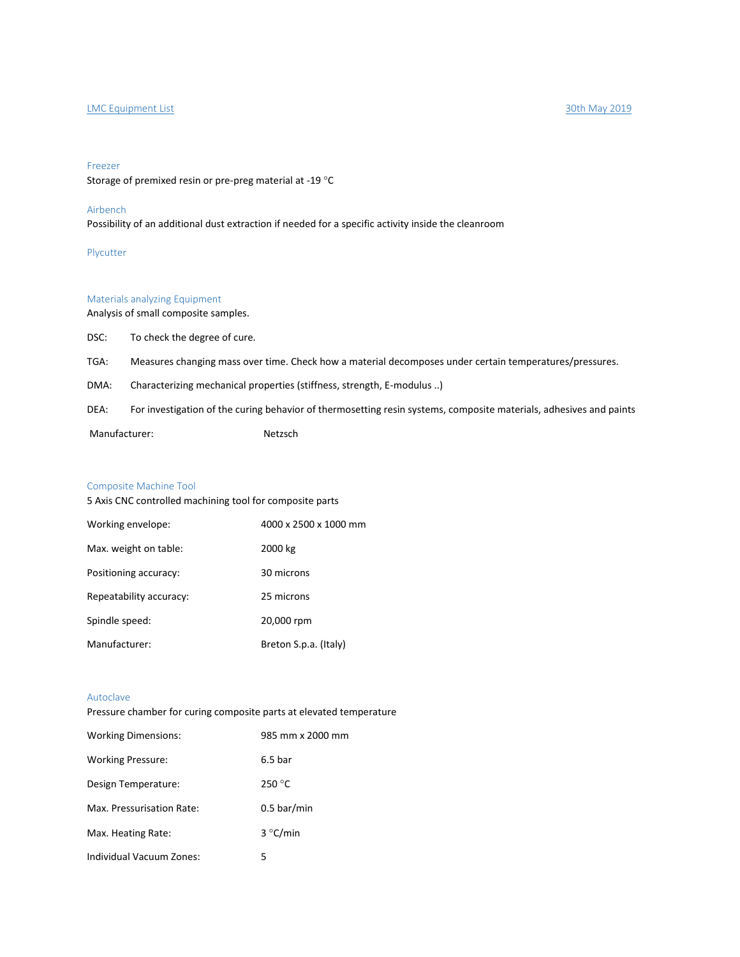# LMC Equipment List 30th May 2019

#### Freezer

Storage of premixed resin or pre-preg material at -19 °C

# Airbench

Possibility of an additional dust extraction if needed for a specific activity inside the cleanroom

Plycutter

# Materials analyzing Equipment

Analysis of small composite samples.

DSC: To check the degree of cure.

TGA: Measures changing mass over time. Check how a material decomposes under certain temperatures/pressures.

DMA: Characterizing mechanical properties (stiffness, strength, E-modulus ..)

DEA: For investigation of the curing behavior of thermosetting resin systems, composite materials, adhesives and paints

Manufacturer: Netzsch

## Composite Machine Tool

5 Axis CNC controlled machining tool for composite parts

| Working envelope:       | 4000 x 2500 x 1000 mm |
|-------------------------|-----------------------|
| Max. weight on table:   | 2000 kg               |
| Positioning accuracy:   | 30 microns            |
| Repeatability accuracy: | 25 microns            |
| Spindle speed:          | 20,000 rpm            |
| Manufacturer:           | Breton S.p.a. (Italy) |

# Autoclave

Pressure chamber for curing composite parts at elevated temperature

| <b>Working Dimensions:</b> | 985 mm x 2000 mm   |
|----------------------------|--------------------|
| <b>Working Pressure:</b>   | 6.5 <sub>bar</sub> |
| Design Temperature:        | 250 °C             |
| Max. Pressurisation Rate:  | $0.5$ bar/min      |
| Max. Heating Rate:         | 3 °C/min           |
| Individual Vacuum Zones:   | 5                  |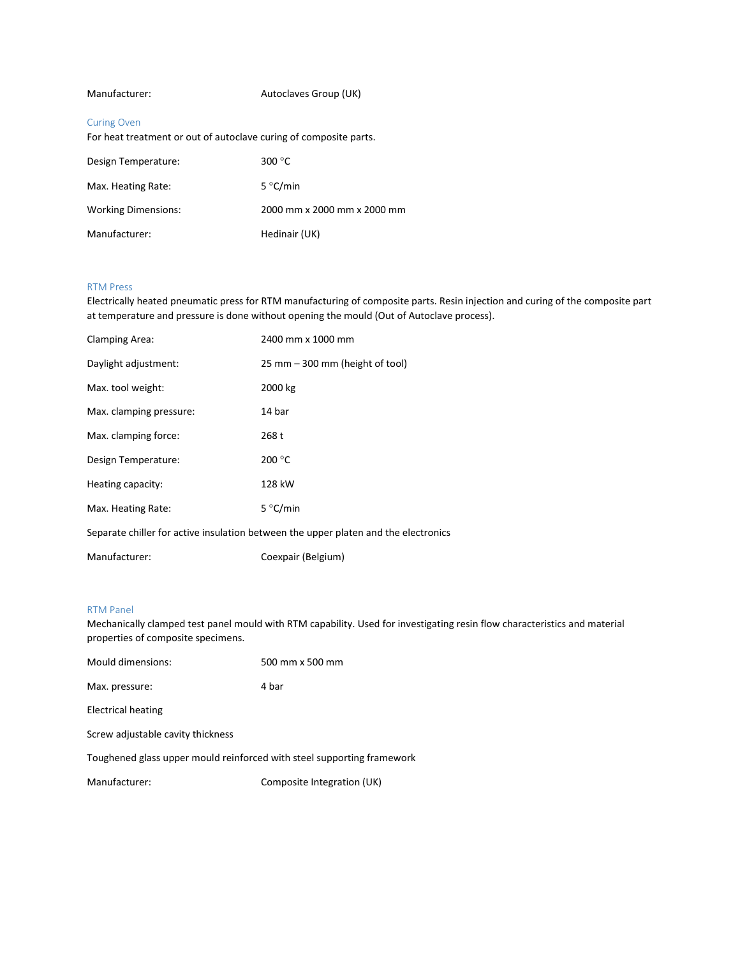# Manufacturer: Autoclaves Group (UK)

## Curing Oven

For heat treatment or out of autoclave curing of composite parts.

| Design Temperature:        | 300 $\degree$ C             |
|----------------------------|-----------------------------|
| Max. Heating Rate:         | 5 °C/min                    |
| <b>Working Dimensions:</b> | 2000 mm x 2000 mm x 2000 mm |
| Manufacturer:              | Hedinair (UK)               |

### RTM Press

Electrically heated pneumatic press for RTM manufacturing of composite parts. Resin injection and curing of the composite part at temperature and pressure is done without opening the mould (Out of Autoclave process).

| Clamping Area:                                                                      | 2400 mm x 1000 mm               |  |
|-------------------------------------------------------------------------------------|---------------------------------|--|
| Daylight adjustment:                                                                | 25 mm – 300 mm (height of tool) |  |
| Max. tool weight:                                                                   | 2000 kg                         |  |
| Max. clamping pressure:                                                             | 14 bar                          |  |
| Max. clamping force:                                                                | 268 t                           |  |
| Design Temperature:                                                                 | 200 °C                          |  |
| Heating capacity:                                                                   | 128 kW                          |  |
| Max. Heating Rate:                                                                  | 5 °C/min                        |  |
| Separate chiller for active insulation between the upper platen and the electronics |                                 |  |
|                                                                                     |                                 |  |

Manufacturer: Coexpair (Belgium)

## RTM Panel

Mechanically clamped test panel mould with RTM capability. Used for investigating resin flow characteristics and material properties of composite specimens.

| Mould dimensions:                                                      | 500 mm x 500 mm |  |
|------------------------------------------------------------------------|-----------------|--|
| Max. pressure:                                                         | 4 bar           |  |
| <b>Electrical heating</b>                                              |                 |  |
| Screw adjustable cavity thickness                                      |                 |  |
| Toughened glass upper mould reinforced with steel supporting framework |                 |  |

Manufacturer: Composite Integration (UK)